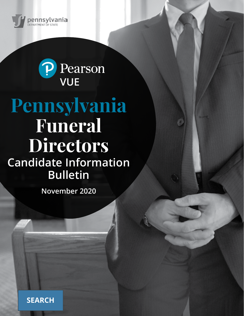



# **Pennsylvania Funeral Directors Candidate Information Bulletin**

**November 2020**

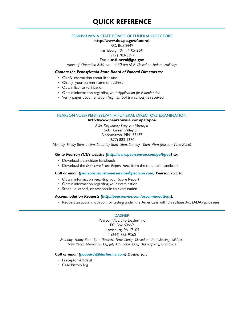# **QUICK REFERENCE**

#### PENNSYLVANIA STATE BOARD OF FUNERAL DIRECTORS

**http://www.dos.pa.gov/funeral**

P.O. Box 2649

Harrisburg, PA 17105-2649 (717) 783-3397

### Email: **st-funeral@pa.gov**

*Hours of Operation 8:30 am – 4:30 pm M-F, Closed on Federal Holidays*

#### *Contact the Pennsylvania State Board of Funeral Directors to:*

- Clarify information about licensure
- Change your current name or address
- Obtain license verification
- Obtain information regarding your *Application for Examination*
- Verify paper documentation (e.g., school transcripts) is received

#### PEARSON VUE® PENNSYLVANIA FUNERAL DIRECTORS EXAMINATION

**http://www.pearsonvue.com/pa/bpoa**

*Attn: Regulatory Program Manager* 5601 Green Valley Dr. Bloomington, MN 55437 (877) 883-1370

*Monday–Friday 8am–11pm; Saturday 8am–5pm; Sunday 10am–4pm (Eastern Time Zone)*

#### *Go to Pearson VUE's website (http://www.pearsonvue.com/pa/bpoa) to:*

- Download a candidate handbook
- Download the *Duplicate Score Report Form* from the candidate handbook

#### *Call or email (pearsonvuecustomerservice@pearson.com) Pearson VUE to:*

- Obtain information regarding your Score Report
- Obtain information regarding your examination
- Schedule, cancel, or reschedule an examination

#### *Accommodation Requests [\(http://pearsonvue.com/accommodations\)](http://pearsonvue.com/accommodations):*

• Request an accommodation for testing under the Americans with Disabilities Act (ADA) guidelines

#### DASHER

Pearson VUE c/o Dasher Inc PO Box 60669 Harrisburg, PA 17105 1 (844) 369-9360

*Monday–Friday 8am–6pm (Eastern Time Zone); Closed on the following holidays: New Years, Memorial Day, July 4th, Labor Day, Thanksgiving, Christmas*

#### *Call or email (paboards@dasherinc.com) Dasher for:*

- Preceptor Affidavit
- Case history log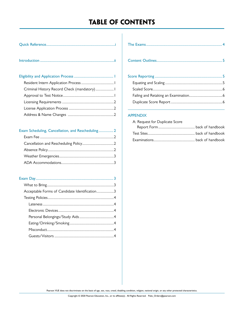# **TABLE OF CONTENTS**

|--|--|--|

| Criminal History Record Check (mandatory) I |  |
|---------------------------------------------|--|
|                                             |  |
|                                             |  |
|                                             |  |
|                                             |  |
|                                             |  |

### Exam Scheduling, Cancellation, and Rescheduling................. 2

| Acceptable Forms of Candidate Identification3 |  |
|-----------------------------------------------|--|
|                                               |  |
|                                               |  |
|                                               |  |
|                                               |  |
|                                               |  |
|                                               |  |
|                                               |  |
|                                               |  |

#### APPENDIX

| A: Request for Duplicate Score |  |
|--------------------------------|--|
|                                |  |
|                                |  |
|                                |  |

Pearson VUE does not discriminate on the basis of age, sex, race, creed, disabling condition, religion, national origin, or any other protected characteristics.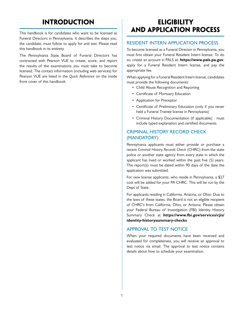# **INTRODUCTION**

This handbook is for candidates who want to be licensed as Funeral Directors in Pennsylvania. It describes the steps you, the candidate, must follow to apply for and test. Please read this handbook in its entirety.

The Pennsylvania State Board of Funeral Directors has contracted with Pearson VUE to create, score, and report the results of the examinations you must take to become licensed. The contact information (including web services) for Pearson VUE are listed in the *Quick Reference* on the inside front cover of this handbook.

# **ELIGIBILITY AND APPLICATION PROCESS**

#### RESIDENT INTERN APPLICATION PROCESS

To become licensed as a Funeral Director in Pennsylvania, you must first obtain your Funeral Resident Intern license. To do so, create an account in PALS at: **https://www.pals.pa.gov**, apply for a Funeral Resident Intern license, and pay the appropriate fee.

When applying for a Funeral Resident Intern license, candidates must provide the following documents:

- Child Abuse Recognition and Reporting
- Certificate of Mortuary Education
- Application for Preceptor
- Certificate of Preliminary Education (only if you never held a Funeral Trainee license in Pennsylvania)
- Criminal History Documentation (if applicable) must include typed explanation and certified documents

### CRIMINAL HISTORY RECORD CHECK (MANDATORY)

Pennsylvania applicants must either provide or purchase a recent *Criminal History Records Check* (CHRC) from the state police or another state agency from every state in which the applicant has lived or worked within the past five (5) years. The report(s) must be dated within 90 days of the date the application was submitted.

For new license applicants, who reside in Pennsylvania, a \$27 cost will be added for your PA CHRC. This will be run by the Dept of State.

For applicants residing in California, Arizona, or Ohio: Due to the laws of these states, the Board is not an eligible recipient of CHRC's from California, Ohio, or Arizona. Please obtain your Federal Bureau of Investigation (FBI) Identity History Summary Check at **https://www.fbi.gov/services/cjis/ identity-historysummary-checks**.

### APPROVAL TO TEST NOTICE

When your required documents have been received and evaluated for completeness, you will receive an approval to test notice via email. The approval to test notice contains details about how to schedule your examination.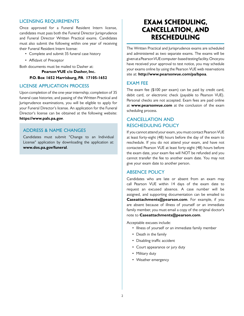#### LICENSING REQUIREMENTS

Once approved for a Funeral Resident Intern license, candidates must pass both the Funeral Director Jurisprudence and Funeral Director Written Practical exams. Candidates must also submit the following within one year of receiving their Funeral Resident Intern license:

- Complete and submit 35 funeral case history
- Affidavit of Preceptor

Both documents must be mailed to Dasher at:

**Pearson VUE c/o Dasher, Inc. P.O. Box 1652 Harrisburg, PA 17105-1652**

#### LICENSE APPLICATION PROCESS

Upon completion of the one-year internship; completion of 35 funeral case histories; and passing of the Written Practical and Jurisprudence examinations, you will be eligible to apply for your Funeral Director's license. An application for the Funeral Director's license can be obtained at the following website: **https://www.pals.pa.gov**.

#### ADDRESS & NAME CHANGES

Candidates must submit "Change to an Individual License" application by downloading the application at: **www.dos.pa.gov/funeral**.

# **EXAM SCHEDULING, CANCELLATION, AND RESCHEDULING**

The Written Practical and Jurisprudence exams are scheduled and administered as two separate exams. The exams will be given at a Pearson VUE computer-based testing facility. Once you have received your approval to test notice, you may schedule your exams online by using the Pearson VUE web reservations site at: **http://www.pearsonvue.com/pa/bpoa**.

#### EXAM FEE

The exam fee (\$100 per exam) can be paid by credit card, debit card, or electronic check (payable to Pearson VUE). Personal checks are not accepted. Exam fees are paid online at **www.pearsonvue.com** at the conclusion of the exam scheduling process.

### CANCELLATION AND RESCHEDULING POLICY

If you cannot attend your exam, you must contact Pearson VUE at least forty-eight (48) hours before the day of the exam to reschedule. If you do not attend your exam, and have not contacted Pearson VUE at least forty-eight (48) hours before the exam date, your exam fee will NOT be refunded and you cannot transfer the fee to another exam date. You may not give your exam date to another person.

### ABSENCE POLICY

Candidates who are late or absent from an exam may call Pearson VUE within 14 days of the exam date to request an excused absence. A case number will be assigned, and supporting documentation can be emailed to **Caseattachments@pearson.com**. For example, if you are absent because of illness of yourself or an immediate family member, you must email a copy of the original doctor's note to **Caseattachments@pearson.com**.

Acceptable excuses include:

- Illness of yourself or an immediate family member
- Death in the family
- Disabling traffic accident
- Court appearance or jury duty
- Military duty
- Weather emergency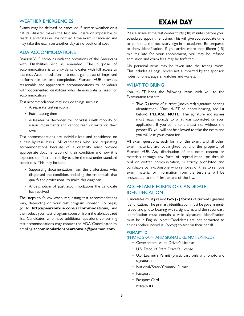#### WEATHER EMERGENCIES

Exams may be delayed or cancelled if severe weather or a natural disaster makes the test site unsafe or impossible to reach. Candidates will be notified if the exam is cancelled and may take the exam on another day at no additional cost.

#### ADA ACCOMMODATIONS

Pearson VUE complies with the provisions of the Americans with Disabilities Act as amended. The purpose of accommodations is to provide candidates with full access to the test. Accommodations are not a guarantee of improved performance or test completion. Pearson VUE provides reasonable and appropriate accommodations to individuals with documented disabilities who demonstrate a need for accommodations.

Test accommodations may include things such as:

- A separate testing room
- Extra testing time
- A Reader or Recorder, for individuals with mobility or vision impairments and cannot read or write on their own

Test accommodations are individualized and considered on a case-by-case basis. All candidates who are requesting accommodations because of a disability must provide appropriate documentation of their condition and how it is expected to affect their ability to take the test under standard conditions. This may include:

- Supporting documentation from the professional who diagnosed the condition, including the credentials that qualify the professional to make this diagnosis
- A description of past accommodations the candidate has received

The steps to follow when requesting test accommodations vary, depending on your test program sponsor. To begin, go to **http://pearsonvue.com/accommodations**, and then select your test program sponsor from the alphabetized list. Candidates who have additional questions concerning test accommodations may contact the ADA Coordinator by emailing **accommodationspearsonvue@pearson.com**.

# **EXAM DAY**

Please arrive at the test center thirty (30) minutes before your scheduled appointment time. This will give you adequate time to complete the necessary sign-in procedures. Be prepared to show identification. If you arrive more than fifteen (15) minutes late for your appointment, you may be refused admission and exam fees may be forfeited.

No personal items may be taken into the testing room. This includes all bags, books not authorized by the sponsor, notes, phones, pagers, watches and wallets.

#### WHAT TO BRING

You MUST bring the following items with you to the Examination test site:

• Two (2) forms of current (unexpired) signature-bearing identification. (One MUST be photo-bearing, see list below). **PLEASE NOTE:** The signature and names must match exactly to what was submitted on your application. If you come to the test site without the proper ID, you will not be allowed to take the exam and you will lose your exam fee.

All exam questions, each form of the exam, and all other exam materials are copyrighted by and the property of Pearson VUE. Any distribution of the exam content or materials through any form of reproduction, or through oral or written communication, is strictly prohibited and punishable by law. Anyone who removes or tries to remove exam material or information from the test site will be prosecuted to the fullest extent of the law.

### ACCEPTABLE FORMS OF CANDIDATE IDENTIFICATION

Candidates must present **two (2) forms** of current signature identification. The primary identification must be governmentissued and photo-bearing with a signature, and the secondary identification must contain a valid signature. Identification must be in English. Note: Candidates are not permitted to enlist another individual (proxy) to test on their behalf

#### PRIMARY ID

(PHOTOGRAPH AND SIGNATURE, NOT EXPIRED)

- Government-issued Driver's License
- U.S. Dept. of State Driver's License
- U.S. Learner's Permit (plastic card only with photo and signature)
- National/State/Country ID card
- Passport
- Passport Card
- Military ID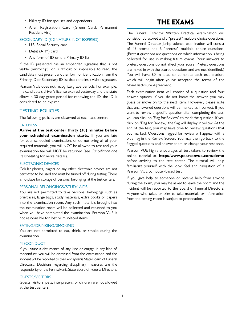- Military ID for spouses and dependents
- Alien Registration Card (Green Card, Permanent Resident Visa)

#### SECONDARY ID (SIGNATURE, NOT EXPIRED)

- U.S. Social Security card
- Debit (ATM) card
- Any form of ID on the Primary ID list

If the ID presented has an embedded signature that is not visible (microchip), or is difficult or impossible to read, the candidate must present another form of identification from the Primary ID or Secondary ID list that contains a visible signature.

Pearson VUE does not recognize grace periods. For example, if a candidate's driver's license expired yesterday and the state allows a 30-day grace period for renewing the ID, the ID is considered to be expired.

#### TESTING POLICIES

The following policies are observed at each test center:

#### LATENESS

**Arrive at the test center thirty (30) minutes before your scheduled examination starts.** If you are late for your scheduled examination, or do not bring all of your required materials, you will NOT be allowed to test and your examination fee will NOT be returned (see *Cancellation and Rescheduling* for more details).

#### ELECTRONIC DEVICES

Cellular phones, pagers or any other electronic devices are not permitted to be used and must be turned off during testing. There is no place for storage of personal belongings at the test centers.

#### PERSONAL BELONGINGS/STUDY AIDS

You are not permitted to take personal belongings such as briefcases, large bags, study materials, extra books or papers into the examination room. Any such materials brought into the examination room will be collected and returned to you when you have completed the examination. Pearson VUE is not responsible for lost or misplaced items.

#### EATING/DRINKING/SMOKING

You are not permitted to eat, drink, or smoke during the examination.

#### **MISCONDUCT**

If you cause a disturbance of any kind or engage in any kind of misconduct, you will be dismissed from the examination and the incident will be reported to the Pennsylvania State Board of Funeral Directors. Decisions regarding disciplinary measures are the responsibility of the Pennsylvania State Board of Funeral Directors.

#### GUESTS/VISITORS

Guests, visitors, pets, interpreters, or children are not allowed at the test centers.

# **THE EXAMS**

The Funeral Director Written Practical examination will consist of 35 scored and 5 "pretest" multiple choice questions. The Funeral Director Jurisprudence examination will consist of 45 scored and 5 "pretest" multiple choice questions. (Pretest questions are questions on which information is being collected for use in making future exams. Your answers to pretest questions do not affect your score. Pretest questions are mixed in with the scored questions and are not identified.) You will have 60 minutes to complete each examination, which will begin after you've accepted the terms of the Non-Disclosure Agreement.

Each examination item will consist of a question and four answer options. If you do not know the answer, you may guess or move on to the next item. However, please note that unanswered questions will be marked as incorrect. If you want to review a specific question after completing the test, you can click on "Flag for Review" to mark the question. If you click on "Flag for Review," the flag will display in yellow. At the end of the test, you may have time to review questions that you marked. Questions flagged for review will appear with a blue flag in the Review Screen. You may then go back to the flagged questions and answer them or change your response.

Pearson VUE highly encourages all test takers to review the online tutorial at **http://www.pearsonvue.com/demo** before arriving to the test center. The tutorial will help familiarize yourself with the look, feel and navigation of a Pearson VUE computer-based test.

If you give help to someone or receive help from anyone during the exam, you may be asked to leave the room and the incident will be reported to the Board of Funeral Directors. Anyone who takes or tries to take materials or information from the testing room is subject to prosecution.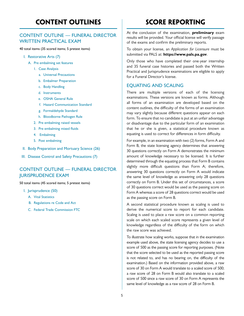# **CONTENT OUTLINES**

### CONTENT OUTLINE — FUNERAL DIRECTOR WRITTEN PRACTICAL EXAM

40 total items (35 scored items; 5 pretest items)

- I. Restorative Arts (7)
	- A. Pre embalming set features
		- 1. Case Analysis
			- a. Universal Precautions
			- b. Embalmer Preparation
			- c. Body Handling
			- d. Instruments
			- e. OSHA General Rule
			- f. Hazard Communication Standard
			- g. Formaldehyde Standard
			- h. Bloodborne Pathogen Rule
		- 2. Pre embalming raised vessels
		- 3. Pre embalming mixed fluids
		- 4. Embalming
		- 5. Post embalming
- II. Body Preparation and Mortuary Science (26)
- III. Disease Control and Safety Precautions (7)

### CONTENT OUTLINE — FUNERAL DIRECTOR JURISPRUDENCE EXAM

50 total items (45 scored items; 5 pretest items)

- I. Jurisprudence (50)
	- A. Vital Statistics
	- B. Regulations re Code and Act
	- C. Federal Trade Commission FTC

# **SCORE REPORTING**

At the conclusion of the examination, **preliminary** exam results will be provided. Your official license will verify passage of the exams and confirm the preliminary reports.

To obtain your license, an *Application for Licensure* must be submitted via PALS at: **https://www.pals.pa.gov**.

Only those who have completed their one-year internship and 35 funeral case histories and passed both the Written Practical and Jurisprudence examinations are eligible to apply for a Funeral Director's license.

#### EQUATING AND SCALING

There are multiple versions of each of the licensing examinations. These versions are known as forms. Although all forms of an examination are developed based on the content outlines, the difficulty of the forms of an examination may vary slightly because different questions appear on each form. To ensure that no candidate is put at an unfair advantage or disadvantage due to the particular form of an examination that he or she is given, a statistical procedure known as equating is used to correct for differences in form difficulty.

For example, in an examination with two (2) forms, Form A and Form B, the state licensing agency determines that answering 30 questions correctly on Form A demonstrates the minimum amount of knowledge necessary to be licensed. It is further determined through the equating process that Form B contains slightly more difficult questions than Form A; therefore, answering 30 questions correctly on Form A would indicate the same level of knowledge as answering only 28 questions correctly on Form B. Under this set of circumstances, a score of 30 questions correct would be used as the passing score on Form A whereas a score of 28 questions correct would be used as the passing score on Form B.

A second statistical procedure known as scaling is used to derive the numerical score to report for each candidate. Scaling is used to place a raw score on a common reporting scale on which each scaled score represents a given level of knowledge regardless of the difficulty of the form on which the raw score was achieved.

To illustrate how scaling works, suppose that in the examination example used above, the state licensing agency decides to use a score of 500 as the passing score for reporting purposes. (Note that the score selected to be used as the reported passing score is not related to, and has no bearing on, the difficulty of the examination.) Based on the information provided above, a raw score of 30 on Form A would translate to a scaled score of 500; a raw score of 28 on Form B would also translate to a scaled score of 500 since a raw score of 30 on Form A represents the same level of knowledge as a raw score of 28 on Form B.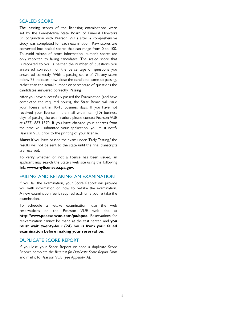#### SCALED SCORE

The passing scores of the licensing examinations were set by the Pennsylvania State Board of Funeral Directors (in conjunction with Pearson VUE) after a comprehensive study was completed for each examination. Raw scores are converted into scaled scores that can range from 0 to 100. To avoid misuse of score information, numeric scores are only reported to failing candidates. The scaled score that is reported to you is neither the number of questions you answered correctly nor the percentage of questions you answered correctly. With a passing score of 75, any score below 75 indicates how close the candidate came to passing, rather than the actual number or percentage of questions the candidates answered correctly. Passing

After you have successfully passed the Examination (and have completed the required hours), the State Board will issue your license within 10-15 business days. If you have not received your license in the mail within ten (10) business days of passing the examination, please contact Pearson VUE at (877) 883-1370. If you have changed your address from the time you submitted your application, you must notify Pearson VUE prior to the printing of your license.

**Note:** If you have passed the exam under "Early Testing," the results will not be sent to the state until the final transcripts are received.

To verify whether or not a license has been issued, an applicant may search the State's web site using the following link: **[www.mylicensepa.pa.](www.mylicense.pa)gov**.

#### FAILING AND RETAKING AN EXAMINATION

If you fail the examination, your Score Report will provide you with information on how to re-take the examination. A new examination fee is required each time you re-take the examination.

To schedule a retake examination, use the web reservations on the Pearson VUE web site at **<http://www.pearsonvue.com/pa/bpoa>**. Reservations for reexamination cannot be made at the test center, and **you must wait twenty-four (24) hours from your failed examination before making your reservation**.

#### DUPLICATE SCORE REPORT

If you lose your Score Report or need a duplicate Score Report, complete the *Request for Duplicate Score Report Form*  and mail it to Pearson VUE (see *Appendix A*).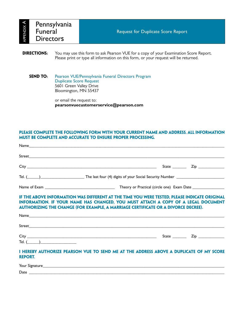| ⋖<br>APPENDIX | Pennsylvania<br><b>Funeral</b><br><b>Directors</b> | <b>Request for Duplicate Score Report</b> |
|---------------|----------------------------------------------------|-------------------------------------------|
|               |                                                    |                                           |

**DIRECTIONS:** You may use this form to ask Pearson VUE for a copy of your Examination Score Report. Please print or type all information on this form, or your request will be returned.

#### **SEND TO:** Pearson VUE/Pennsylvania Funeral Directors Program Duplicate Score Request 5601 Green Valley Drive Bloomington, MN 55437

or email the request to: **pearsonvuecustomerservice@pearson.com**

### **Please complete the following form with your current name and address. All information must be complete and accurate to ensure proper processing.**

|                | Tel. (1992) The last four (4) digits of your Social Security Number 10 matches 2014                                                                                                                                                                                           |  |
|----------------|-------------------------------------------------------------------------------------------------------------------------------------------------------------------------------------------------------------------------------------------------------------------------------|--|
|                |                                                                                                                                                                                                                                                                               |  |
|                | IF THE ABOVE INFORMATION WAS DIFFERENT AT THE TIME YOU WERE TESTED, PLEASE INDICATE ORIGINAL<br>INFORMATION. IF YOUR NAME HAS CHANGED, YOU MUST ATTACH A COPY OF A LEGAL DOCUMENT<br><b>AUTHORIZING THE CHANGE (FOR EXAMPLE, A MARRIAGE CERTIFICATE OR A DIVORCE DECREE).</b> |  |
|                |                                                                                                                                                                                                                                                                               |  |
|                |                                                                                                                                                                                                                                                                               |  |
| Tel. $(\_\_)$  |                                                                                                                                                                                                                                                                               |  |
| <b>REPORT.</b> | I HEREBY AUTHORIZE PEARSON VUE TO SEND ME AT THE ADDRESS ABOVE A DUPLICATE OF MY SCORE                                                                                                                                                                                        |  |
|                |                                                                                                                                                                                                                                                                               |  |
|                | Date $\overline{\phantom{a}}$                                                                                                                                                                                                                                                 |  |